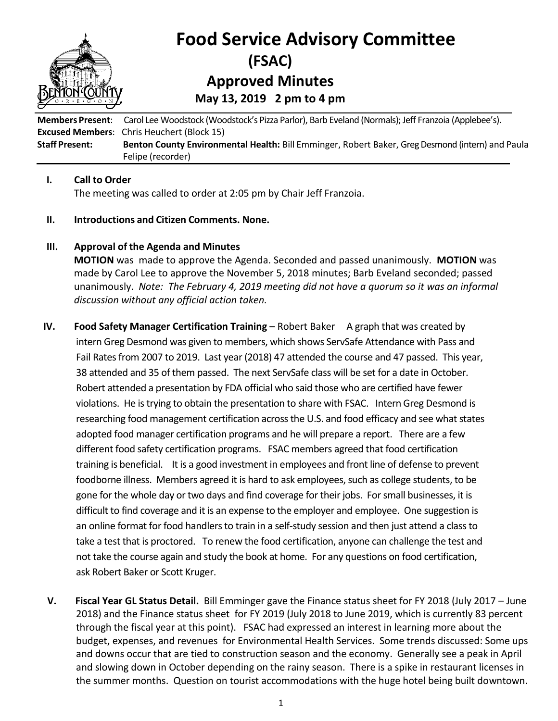

# **Food Service Advisory Committee (FSAC) Approved Minutes May 13, 2019 2 pm to 4 pm**

**Members Present**: Carol Lee Woodstock (Woodstock's Pizza Parlor), Barb Eveland (Normals); Jeff Franzoia (Applebee's). **Excused Members**: Chris Heuchert (Block 15) **Staff Present: Benton County Environmental Health:** Bill Emminger, Robert Baker, Greg Desmond (intern) and Paula Felipe (recorder)

### **I. Call to Order**

The meeting was called to order at 2:05 pm by Chair Jeff Franzoia.

### **II. Introductions and Citizen Comments. None.**

### **III. Approval of the Agenda and Minutes**

**MOTION** was made to approve the Agenda. Seconded and passed unanimously. **MOTION** was made by Carol Lee to approve the November 5, 2018 minutes; Barb Eveland seconded; passed unanimously. *Note: The February 4, 2019 meeting did not have a quorum so it was an informal discussion without any official action taken.* 

- **IV. Food Safety Manager Certification Training** Robert BakerA graph that was created by intern Greg Desmond was given to members, which shows ServSafe Attendance with Pass and Fail Rates from 2007 to 2019. Last year (2018) 47 attended the course and 47 passed. This year, 38 attended and 35 of them passed. The next ServSafe class will be set for a date in October. Robert attended a presentation by FDA official who said those who are certified have fewer violations. He is trying to obtain the presentation to share with FSAC. Intern Greg Desmond is researching food management certification across the U.S. and food efficacy and see what states adopted food manager certification programs and he will prepare a report. There are a few different food safety certification programs. FSAC members agreed that food certification training is beneficial. It is a good investment in employees and front line of defense to prevent foodborne illness. Members agreed it is hard to ask employees, such as college students, to be gone for the whole day or two days and find coverage for their jobs. For small businesses, it is difficult to find coverage and it is an expense to the employer and employee. One suggestion is an online format for food handlers to train in a self-study session and then just attend a class to take a test that is proctored. To renew the food certification, anyone can challenge the test and not take the course again and study the book at home. For any questions on food certification, ask Robert Baker or Scott Kruger.
- **V. Fiscal Year GL Status Detail.** Bill Emminger gave the Finance status sheet for FY 2018 (July 2017 June 2018) and the Finance status sheet for FY 2019 (July 2018 to June 2019, which is currently 83 percent through the fiscal year at this point). FSAC had expressed an interest in learning more about the budget, expenses, and revenues for Environmental Health Services. Some trends discussed: Some ups and downs occur that are tied to construction season and the economy. Generally see a peak in April and slowing down in October depending on the rainy season. There is a spike in restaurant licenses in the summer months. Question on tourist accommodations with the huge hotel being built downtown.